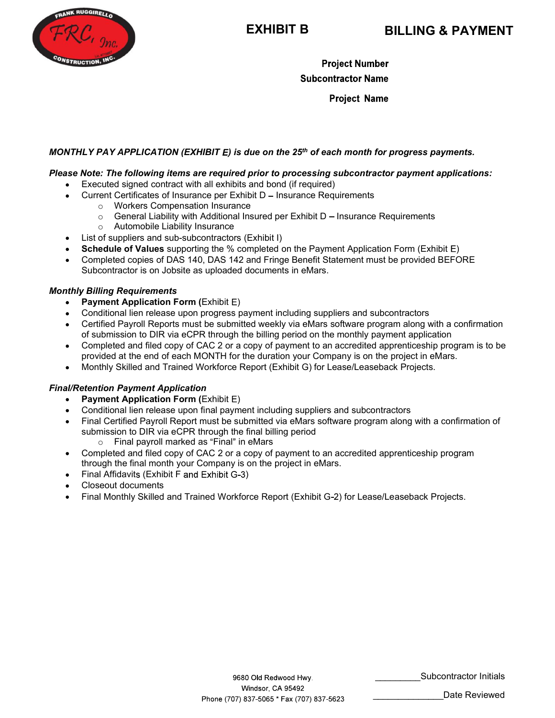

**EXHIBIT B**<br> **EXHIBIT B**<br> **Project Number**<br> **Project Name**<br> **Project Name**<br> **Project Name**<br> **Project Name**<br> **Project Name**<br> **Project Name**<br> **Project Name**<br> **Project Name**<br> **Project Name**<br> **Project Name**<br> **Project Name**<br>

# EXHIBIT B<br>  $C_f$   $g_{\text{PLO}}$ <br>
Froject Number<br>
Project Name<br>
Project Name<br>
Project Name<br>
Project Name<br>
Project Name<br>
Project Name<br>
Project Name<br>
Curent Certificates of Insurance are required prior to processing subcontractor

- - Current Certificates of Insurance per Exhibit D Insurance Requirements
		-
		-
		- o Automobile Liability Insurance
- $\bullet$
- 
- **EXHIBIT B**<br> **EXHIBIT B**<br> **Project Number**<br> **Project Number**<br> **Project Name**<br> **Project Name**<br> **Project Name**<br> **Project Name**<br> **Project Name**<br> **Project Name**<br> **Project Name**<br> **Project Name**<br> **Project Name**<br> **Project Name**<br> **EXHIBIT B**<br> **EXHIBIT B**<br> **EXHIBIT B**<br> **EXHIBIT B**<br> **Project Number**<br> **EXHIBIT S**<br> **Project Number**<br> **EVPAY APPLICATION (EXHIBIT E) is due on the 25<sup>th</sup> of each month for progress pay<br>
<b>Note:** The following items are requ **EXHIBIT B**<br> **SCHEDUIT B**<br> **SCHEDUIT B**<br> **Project Number**<br> **Project Number**<br> **Project Number**<br> **Project Numeral Propression Form Server Subcontractor Payment Applications:**<br> **Executed signed contract with all exhibits and EXHIBIT B**<br> **EXHIBIT B**<br> **Project Number**<br> **Project Number**<br> **Project Name**<br> **Project Name**<br> **Project Name**<br> **Project Name**<br> **Project Name**<br> **Project Name**<br> **Project Name**<br> **Project Name**<br> **Project Name**<br> **Project Name**<br> **EXECUTE:** The Contractor is on Alternative as upper the UNITED of Development of the Subcontractor Name<br>
Project Name<br>
Project Name<br>
Project Name<br>
Project Name<br>
Project Name<br>
Note: The following items are required prior

### Monthly Billing Requirements

- Payment Application Form (Exhibit  $E$ )  $\bullet$
- 
- 
- Subcontractor Name<br>
Project Name<br>
Project Name<br>
Note: The following items are required prior to processing subcontractor payment applications:<br>
Executed signed contract with all exhibits and bond (if required)<br>
Current Cer **EXECT AS APPLICATION (EXHIBIT E)** is due on the 25<sup>th</sup> of each month for progress payments.<br> **Note: The following items are required prior to processing subcontractor payment applications:**<br>
Exercuted signed contract wit **Project Name**<br> **CEVEND (EXHIBIT E)** is due on the 25<sup>th</sup> of each month for progress payments.<br> **Note:** The following items are required prior to processing subcontractor payment applications:<br>
Executed signed contract wi LY PAY APPLICATION (EXHIBIT E) is due on the 25<sup>th</sup> of each month for progress payments.<br>
Note: The following items are required prior to processing subcontractor payment applications:<br>
Executed signed contract with all e **ILY PAY APPLICATION (EXHIBIT E) is due on the 25<sup>th</sup> of each month for progress payments.<br>
Note: The following items are required prior to processing subcontractor payment applications:<br>
Executed signed contact with all** N.Y PAY APPLICATION (EXHIBIT E) is due on the 25<sup>th</sup> of each month for progress payments.<br>
Note: The following items are required prior to processing subcontractor payment applications:<br>
Executed signed contract with all e  $\bullet$
- 

### Final/Retention Payment Application

- $\bullet$
- 
- Note: The following items are required prior to processing subcontractor payment applications:<br>Excelute signed contract with all exhibits and bond (if requirements<br>Current Certificates of Insurance per Exhibit D Insuranc Wer: The Forievary erars are required prior to processing supportivactor payment appircations:<br>Curent Certificates of Insurance en Exhibit D – Insurance Requirements<br>Curent Certificates of Insurance or Exhibit D – Insuranc Executed Signet Certificates of Insurance per Exhibit D – Insurance Requirements<br>
"Current Certificates of Insurance per Exhibit D – Insurance Requirements<br>
"Ceretar Liability insurance<br>
Ceretar Liability insurance<br>
Cereta Current Lemitoniae or Insurance Per Exhibit D – Insurance Requirements<br>
or Workers Compensation Insurance<br>
or Ceneral Liability with Additional Insural<br>
calid of Supplies and sub-subcontractors (Exhibit D – Insurance Requi ο Workers Compensation Insurance<br>
o General Liability with Additional Insured per Exhibit D – Insurance Requirements<br>
o Automobile Liability Insurance<br>
of suppliers and sub-subcontractors (Exhibit I)<br> **edule of Values** su Completed and sub-sub-completed completed by the Completed Completed apprentices in Schedule of Values supporting the % completed on the Payment Application Form (Exhibit E) Schedule of Values supporting the % completed on o Automobie Lastinty insurance<br>List of suppliers and sub-subcontractors (Exhibit I)<br>Schedule of Values supporting the % completed on the Payment Application Form (Exhibit E)<br>Completed copies of DAS 140, DAS 142 and Fringe List of suppriers and sub-subconutactors (Exhibit 1)<br>Schedule of Values supporting the % completed on the Payment Application Fi<br>Completed copies of DAS 140, DAS 142 and Fringe Benefit Statement must be<br>Subcontractor is o Screame of Varues supportung the <sup>so</sup> completed on the Payment Application Form<br>Completed copies of DAS 140, DAS 142 and Fringe Benefit Statement must be prov<br>Subcontractor is on Jobsite as uploaded documents in eMars.<br> *F* Completed and filed copy of CAC 2 or a copy of payment Dataselline and Final Mindustrian Monthly Skilled and Trained Workforce Report (Exhibit G-2) for Lease/Leaseback Projects. The Conditional lien release upon progress p
	-
- $\bullet$
- 
- 
- 

Subcontractor Initials